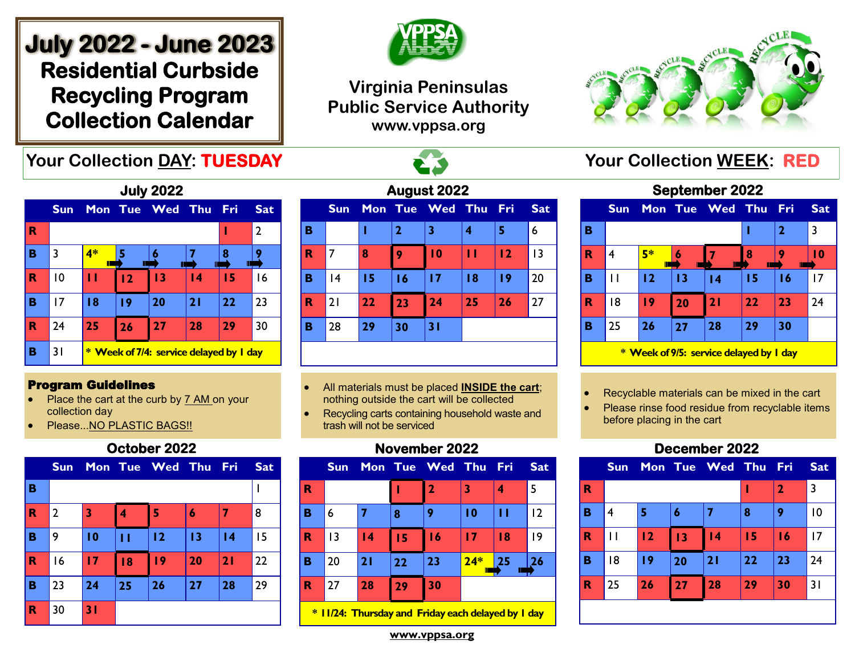# **July 2022 - June 2023 Residential Curbside Recycling Program Collection Calendar**

## **Your Collection DAY: TUESDAY And All Acts of All Acts of All Acts Your Collection WEEK: RED**



## **Virginia Peninsulas Public Service Authority www.vppsa.org**



**September 2022** 

| <b>July 2022</b> |                 |      |                                                |             |                 |     |                |  |  |
|------------------|-----------------|------|------------------------------------------------|-------------|-----------------|-----|----------------|--|--|
|                  | <b>Sun</b>      |      |                                                | Mon Tue Wed | <b>Thu</b>      | Fri | <b>Sat</b>     |  |  |
| R                |                 |      |                                                |             |                 |     | $\overline{2}$ |  |  |
| в                | 3               | $4*$ |                                                |             |                 | 8   |                |  |  |
| R                | $\overline{10}$ | п    | 12                                             | 13          | $\overline{14}$ | 15  | 16             |  |  |
| в                | 17              | 18   | 19                                             | 20          | 21              | 22  | 23             |  |  |
| R                | 24              | 25   | 26                                             | 27          | 28              | 29  | 30             |  |  |
| в                | 31              |      | <b>* Week of 7/4: service delayed by I day</b> |             |                 |     |                |  |  |

#### Program Guidelines

- Place the cart at the curb by 7 AM on your collection day
- Please...NO PLASTIC BAGS!!

### **October 2022**

|                         | <b>Sun</b>     |    |    | Mon Tue Wed Thu |    | <b>Fri</b> | <b>Sat</b> |
|-------------------------|----------------|----|----|-----------------|----|------------|------------|
| B                       |                |    |    |                 |    |            |            |
| $\mathbf R$             | $\overline{2}$ | 3  | 4  | 5               | 6  |            | 8          |
| B                       | 9              | 10 | п  | 12              | 13 | 4          | 15         |
| $\overline{\mathbf{R}}$ | 16             | 17 | 18 | 19              | 20 | 21         | 22         |
| B                       | 23             | 24 | 25 | 26              | 27 | 28         | 29         |
| $\mathbf R$             | 30             | 31 |    |                 |    |            |            |

| August 2022 |            |    |                |                 |    |            |            |  |  |  |
|-------------|------------|----|----------------|-----------------|----|------------|------------|--|--|--|
|             | <b>Sun</b> |    |                | Mon Tue Wed Thu |    | <b>Fri</b> | <b>Sat</b> |  |  |  |
| в           |            |    | $\overline{2}$ | 3               | 4  | 5          | 6          |  |  |  |
| R           | 7          | 8  | 9              | 10              | п  | 12         | 13         |  |  |  |
| B           | 4          | 15 | 16             | 17              | 18 | 19         | 20         |  |  |  |
| $\mathbf R$ | 21         | 22 | 23             | 24              | 25 | 26         | 27         |  |  |  |
| в           | 28         | 29 | 30             | 31              |    |            |            |  |  |  |
|             |            |    |                |                 |    |            |            |  |  |  |

- All materials must be placed **INSIDE the cart**; nothing outside the cart will be collected
- Recycling carts containing household waste and trash will not be serviced

## **November 2022**



**\* 11/24: Thursday and Friday each delayed by 1 day**

|                                         | <b>Septemper ZUZZ</b> |         |    |                 |    |     |            |  |  |  |  |
|-----------------------------------------|-----------------------|---------|----|-----------------|----|-----|------------|--|--|--|--|
|                                         | <b>Sun</b>            |         |    | Mon Tue Wed Thu |    | Fri | <b>Sat</b> |  |  |  |  |
| в                                       |                       |         |    | $\mathbf{2}$    | 3  |     |            |  |  |  |  |
| R                                       | 4                     | 5*<br>П | 6  |                 | 8  | Ш   | 10         |  |  |  |  |
| В                                       | Ħ                     | 12      | 13 | $\overline{14}$ | 15 | 16  | 17         |  |  |  |  |
| R                                       | 18                    | 19      | 20 | 21              | 22 | 23  | 24         |  |  |  |  |
| B                                       | 25                    | 26      | 27 | 28              | 29 | 30  |            |  |  |  |  |
| * Week of 9/5: service delayed by I day |                       |         |    |                 |    |     |            |  |  |  |  |

• Recyclable materials can be mixed in the cart

Please rinse food residue from recyclable items before placing in the cart

## **December 2022**



**www.vppsa.org**